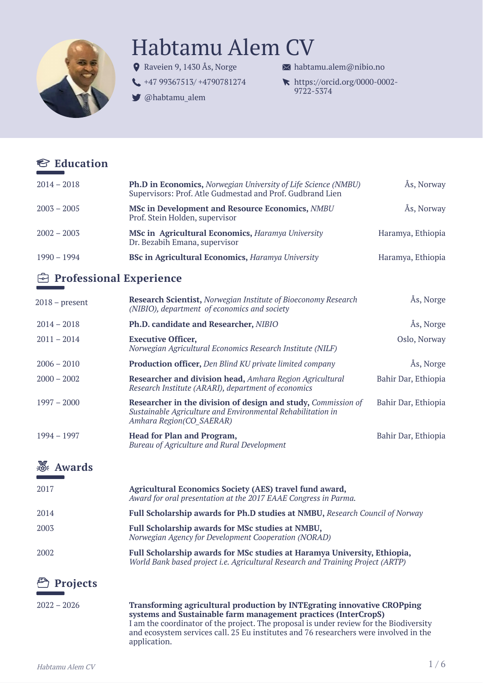

# Habtamu Alem CV

- Raveien 9, 1430 Ås, Norge
- [+47 99367513/ +4790781274](tel:+47 99367513/ +4790781274)
- [@habtamu\\_alem](https://twitter.com/habtamu_alem)

 $\bowtie$  [habtamu.alem@nibio.no](mailto:habtamu.alem@nibio.no)

[https://orcid.org/0000-0002-](https://orcid.org/my-orcid?orcid=0000-0002-9722-5374) 9722-5374

|  | <b><sup>€</sup></b> Education |
|--|-------------------------------|
|--|-------------------------------|

| $2014 - 2018$                    | Ph.D in Economics, Norwegian University of Life Science (NMBU)<br>Supervisors: Prof. Atle Gudmestad and Prof. Gudbrand Lien                              | Ås, Norway          |
|----------------------------------|----------------------------------------------------------------------------------------------------------------------------------------------------------|---------------------|
| $2003 - 2005$                    | <b>MSc in Development and Resource Economics, NMBU</b><br>Prof. Stein Holden, supervisor                                                                 | Ås, Norway          |
| $2002 - 2003$                    | MSc in Agricultural Economics, Haramya University<br>Dr. Bezabih Emana, supervisor                                                                       | Haramya, Ethiopia   |
| $1990 - 1994$                    | <b>BSc in Agricultural Economics, Haramya University</b>                                                                                                 | Haramya, Ethiopia   |
| <b>E</b> Professional Experience |                                                                                                                                                          |                     |
| $2018$ – present                 | <b>Research Scientist, Norwegian Institute of Bioeconomy Research</b><br>(NIBIO), department of economics and society                                    | Ås, Norge           |
| $2014 - 2018$                    | Ph.D. candidate and Researcher, NIBIO                                                                                                                    | Ås, Norge           |
| $2011 - 2014$                    | <b>Executive Officer,</b><br>Norwegian Agricultural Economics Research Institute (NILF)                                                                  | Oslo, Norway        |
| $2006 - 2010$                    | <b>Production officer, Den Blind KU private limited company</b>                                                                                          | Ås, Norge           |
| $2000 - 2002$                    | Researcher and division head, Amhara Region Agricultural<br>Research Institute (ARARI), department of economics                                          | Bahir Dar, Ethiopia |
| $1997 - 2000$                    | Researcher in the division of design and study, Commission of<br>Sustainable Agriculture and Environmental Rehabilitation in<br>Amhara Region(CO SAERAR) | Bahir Dar, Ethiopia |
| $1994 - 1997$                    | <b>Head for Plan and Program,</b><br>Bureau of Agriculture and Rural Development                                                                         | Bahir Dar, Ethiopia |

# **Awards**

| 2017 | Agricultural Economics Society (AES) travel fund award,<br>Award for oral presentation at the 2017 EAAE Congress in Parma.                                  |
|------|-------------------------------------------------------------------------------------------------------------------------------------------------------------|
| 2014 | Full Scholarship awards for Ph.D studies at NMBU, Research Council of Norway                                                                                |
| 2003 | <b>Full Scholarship awards for MSc studies at NMBU,</b><br>Norwegian Agency for Development Cooperation (NORAD)                                             |
| 2002 | Full Scholarship awards for MSc studies at Haramya University, Ethiopia,<br>World Bank based project i.e. Agricultural Research and Training Project (ARTP) |

# **Projects**

2022 – 2026 **Transforming agricultural production by INTEgrating innovative CROPping systems and Sustainable farm management practices (InterCropS)** I am the coordinator of the project. The proposal is under review for the Biodiversity and ecosystem services call. 25 Eu institutes and 76 researchers were involved in the application.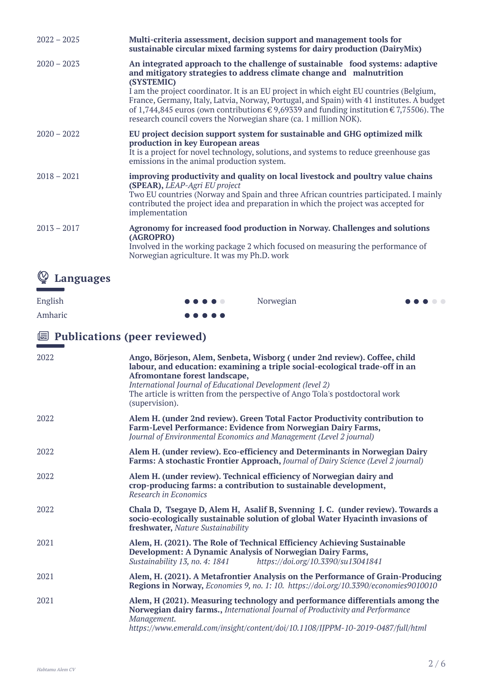| $2022 - 2025$ | Multi-criteria assessment, decision support and management tools for<br>sustainable circular mixed farming systems for dairy production (DairyMix)                                                                                                                                                                                                                                                                                                                                                                                 |  |
|---------------|------------------------------------------------------------------------------------------------------------------------------------------------------------------------------------------------------------------------------------------------------------------------------------------------------------------------------------------------------------------------------------------------------------------------------------------------------------------------------------------------------------------------------------|--|
| $2020 - 2023$ | An integrated approach to the challenge of sustainable food systems: adaptive<br>and mitigatory strategies to address climate change and malnutrition<br>(SYSTEMIC)<br>I am the project coordinator. It is an EU project in which eight EU countries (Belgium,<br>France, Germany, Italy, Latvia, Norway, Portugal, and Spain) with 41 institutes. A budget<br>of 1,744,845 euros (own contributions $\in$ 9,69339 and funding institution $\in$ 7,75506). The<br>research council covers the Norwegian share (ca. 1 million NOK). |  |
| $2020 - 2022$ | EU project decision support system for sustainable and GHG optimized milk<br>production in key European areas<br>It is a project for novel technology, solutions, and systems to reduce greenhouse gas<br>emissions in the animal production system.                                                                                                                                                                                                                                                                               |  |
| $2018 - 2021$ | improving productivity and quality on local livestock and poultry value chains<br>(SPEAR), LEAP-Agri EU project<br>Two EU countries (Norway and Spain and three African countries participated. I mainly<br>contributed the project idea and preparation in which the project was accepted for<br>implementation                                                                                                                                                                                                                   |  |
| $2013 - 2017$ | Agronomy for increased food production in Norway. Challenges and solutions<br>(AGROPRO)<br>Involved in the working package 2 which focused on measuring the performance of<br>Norwegian agriculture. It was my Ph.D. work                                                                                                                                                                                                                                                                                                          |  |
| $\sim$        |                                                                                                                                                                                                                                                                                                                                                                                                                                                                                                                                    |  |

Norwegian

# **Languages**

English

Amharic

 $\bullet\bullet\bullet$  $\bullet$ 

 $\bullet$  $\bullet$ 

#### $\bullet\bullet\bullet\bullet\bullet$

# **Publications (peer reviewed)**

| 2022 | Ango, Börjeson, Alem, Senbeta, Wisborg (under 2nd review). Coffee, child<br>labour, and education: examining a triple social-ecological trade-off in an<br>Afromontane forest landscape,<br>International Journal of Educational Development (level 2)<br>The article is written from the perspective of Ango Tola's postdoctoral work<br>(supervision). |
|------|----------------------------------------------------------------------------------------------------------------------------------------------------------------------------------------------------------------------------------------------------------------------------------------------------------------------------------------------------------|
| 2022 | Alem H. (under 2nd review). Green Total Factor Productivity contribution to<br>Farm-Level Performance: Evidence from Norwegian Dairy Farms,<br>Journal of Environmental Economics and Management (Level 2 journal)                                                                                                                                       |
| 2022 | Alem H. (under review). Eco-efficiency and Determinants in Norwegian Dairy<br>Farms: A stochastic Frontier Approach, Journal of Dairy Science (Level 2 journal)                                                                                                                                                                                          |
| 2022 | Alem H. (under review). Technical efficiency of Norwegian dairy and<br>crop-producing farms: a contribution to sustainable development,<br>Research in Economics                                                                                                                                                                                         |
| 2022 | Chala D, Tsegaye D, Alem H, Asalif B, Svenning J. C. (under review). Towards a<br>socio-ecologically sustainable solution of global Water Hyacinth invasions of<br>freshwater, Nature Sustainability                                                                                                                                                     |
| 2021 | Alem, H. (2021). The Role of Technical Efficiency Achieving Sustainable<br>Development: A Dynamic Analysis of Norwegian Dairy Farms,<br>https://doi.org/10.3390/su13041841<br>Sustainability 13, no. 4: 1841                                                                                                                                             |
| 2021 | Alem, H. (2021). A Metafrontier Analysis on the Performance of Grain-Producing<br>Regions in Norway, Economies 9, no. 1: 10. https://doi.org/10.3390/economies9010010                                                                                                                                                                                    |
| 2021 | Alem, H (2021). Measuring technology and performance differentials among the<br>Norwegian dairy farms., International Journal of Productivity and Performance<br>Management.<br>https://www.emerald.com/insight/content/doi/10.1108/IJPPM-10-2019-0487/full/html                                                                                         |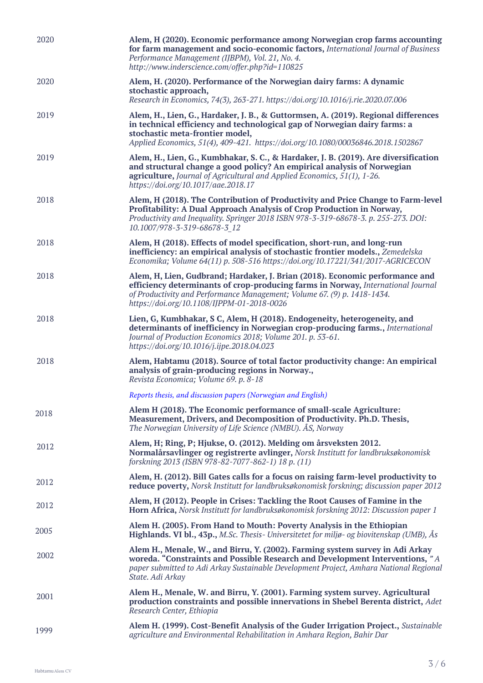| 2020 | Alem, H (2020). Economic performance among Norwegian crop farms accounting<br>for farm management and socio-economic factors, International Journal of Business<br>Performance Management (IJBPM), Vol. 21, No. 4.<br>http://www.inderscience.com/offer.php?id=110825                      |  |
|------|--------------------------------------------------------------------------------------------------------------------------------------------------------------------------------------------------------------------------------------------------------------------------------------------|--|
| 2020 | Alem, H. (2020). Performance of the Norwegian dairy farms: A dynamic<br>stochastic approach,<br>Research in Economics, 74(3), 263-271. https://doi.org/10.1016/j.rie.2020.07.006                                                                                                           |  |
| 2019 | Alem, H., Lien, G., Hardaker, J. B., & Guttormsen, A. (2019). Regional differences<br>in technical efficiency and technological gap of Norwegian dairy farms: a<br>stochastic meta-frontier model,<br>Applied Economics, 51(4), 409-421. https://doi.org/10.1080/00036846.2018.1502867     |  |
| 2019 | Alem, H., Lien, G., Kumbhakar, S. C., & Hardaker, J. B. (2019). Are diversification<br>and structural change a good policy? An empirical analysis of Norwegian<br>agriculture, Journal of Agricultural and Applied Economics, 51(1), 1-26.<br>https://doi.org/10.1017/aae.2018.17          |  |
| 2018 | Alem, H (2018). The Contribution of Productivity and Price Change to Farm-level<br>Profitability: A Dual Approach Analysis of Crop Production in Norway,<br>Productivity and Inequality. Springer 2018 ISBN 978-3-319-68678-3. p. 255-273. DOI:<br>10.1007/978-3-319-68678-3 12            |  |
| 2018 | Alem, H (2018). Effects of model specification, short-run, and long-run<br>inefficiency: an empirical analysis of stochastic frontier models., Zemedelska<br>Economika; Volume 64(11) p. 508-516 https://doi.org/10.17221/341/2017-AGRICECON                                               |  |
| 2018 | Alem, H, Lien, Gudbrand; Hardaker, J. Brian (2018). Economic performance and<br>efficiency determinants of crop-producing farms in Norway, International Journal<br>of Productivity and Performance Management; Volume 67. (9) p. 1418-1434.<br>https://doi.org/10.1108/IJPPM-01-2018-0026 |  |
| 2018 | Lien, G, Kumbhakar, S C, Alem, H (2018). Endogeneity, heterogeneity, and<br>determinants of inefficiency in Norwegian crop-producing farms., International<br>Journal of Production Economics 2018; Volume 201. p. 53-61.<br>https://doi.org/10.1016/j.ijpe.2018.04.023                    |  |
| 2018 | Alem, Habtamu (2018). Source of total factor productivity change: An empirical<br>analysis of grain-producing regions in Norway.,<br>Revista Economica; Volume 69. p. 8-18                                                                                                                 |  |
|      | Reports thesis, and discussion papers (Norwegian and English)                                                                                                                                                                                                                              |  |
| 2018 | Alem H (2018). The Economic performance of small-scale Agriculture:<br>Measurement, Drivers, and Decomposition of Productivity. Ph.D. Thesis,<br>The Norwegian University of Life Science (NMBU). ÅS, Norway                                                                               |  |
| 2012 | Alem, H; Ring, P; Hjukse, O. (2012). Melding om årsveksten 2012.<br>Normalårsavlinger og registrerte avlinger, Norsk Institutt for landbruksøkonomisk<br>forskning 2013 (ISBN 978-82-7077-862-1) 18 p. (11)                                                                                |  |
| 2012 | Alem, H. (2012). Bill Gates calls for a focus on raising farm-level productivity to<br>reduce poverty, Norsk Institutt for landbruksøkonomisk forskning; discussion paper 2012                                                                                                             |  |
| 2012 | Alem, H (2012). People in Crises: Tackling the Root Causes of Famine in the<br>Horn Africa, Norsk Institutt for landbruksøkonomisk forskning 2012: Discussion paper 1                                                                                                                      |  |
| 2005 | Alem H. (2005). From Hand to Mouth: Poverty Analysis in the Ethiopian<br>Highlands. VI bl., 43p., M.Sc. Thesis- Universitetet for miljø- og biovitenskap (UMB), Ås                                                                                                                         |  |
| 2002 | Alem H., Menale, W., and Birru, Y. (2002). Farming system survey in Adi Arkay<br>woreda. "Constraints and Possible Research and Development Interventions, "A<br>paper submitted to Adi Arkay Sustainable Development Project, Amhara National Regional<br>State. Adi Arkay                |  |
| 2001 | Alem H., Menale, W. and Birru, Y. (2001). Farming system survey. Agricultural<br>production constraints and possible innervations in Shebel Berenta district, Adet<br>Research Center, Ethiopia                                                                                            |  |
| 1999 | Alem H. (1999). Cost-Benefit Analysis of the Guder Irrigation Project., Sustainable<br>agriculture and Environmental Rehabilitation in Amhara Region, Bahir Dar                                                                                                                            |  |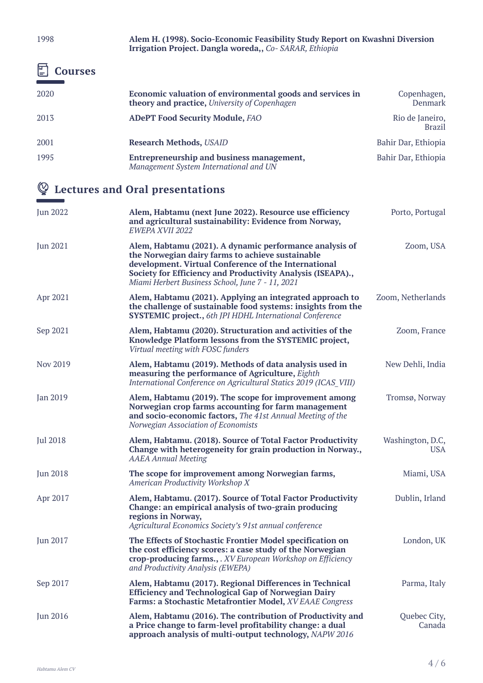1998 **Alem H. (1998). Socio-Economic Feasibility Study Report on Kwashni Diversion Irrigation Project. Dangla woreda,,** *Co- SARAR, Ethiopia*

# **Courses**

| Economic valuation of environmental goods and services in<br>theory and practice, University of Copenhagen | Copenhagen,<br>Denmark           |
|------------------------------------------------------------------------------------------------------------|----------------------------------|
| <b>ADePT Food Security Module, FAO</b>                                                                     | Rio de Janeiro,<br><b>Brazil</b> |
| <b>Research Methods, USAID</b>                                                                             | Bahir Dar, Ethiopia              |
| Entrepreneurship and business management,<br>Management System International and UN                        | Bahir Dar, Ethiopia              |
|                                                                                                            |                                  |

# **Lectures and Oral presentations**

| <b>Jun 2022</b> | Alem, Habtamu (next June 2022). Resource use efficiency<br>and agricultural sustainability: Evidence from Norway,<br>EWEPA XVII 2022                                                                                                                                                   | Porto, Portugal                |
|-----------------|----------------------------------------------------------------------------------------------------------------------------------------------------------------------------------------------------------------------------------------------------------------------------------------|--------------------------------|
| <b>Jun 2021</b> | Alem, Habtamu (2021). A dynamic performance analysis of<br>the Norwegian dairy farms to achieve sustainable<br>development. Virtual Conference of the International<br>Society for Efficiency and Productivity Analysis (ISEAPA).,<br>Miami Herbert Business School, June 7 - 11, 2021 | Zoom, USA                      |
| Apr 2021        | Alem, Habtamu (2021). Applying an integrated approach to<br>the challenge of sustainable food systems: insights from the<br><b>SYSTEMIC project., 6th JPI HDHL International Conference</b>                                                                                            | Zoom, Netherlands              |
| Sep 2021        | Alem, Habtamu (2020). Structuration and activities of the<br>Knowledge Platform lessons from the SYSTEMIC project,<br>Virtual meeting with FOSC funders                                                                                                                                | Zoom, France                   |
| Nov 2019        | Alem, Habtamu (2019). Methods of data analysis used in<br>measuring the performance of Agriculture, Eighth<br>International Conference on Agricultural Statics 2019 (ICAS VIII)                                                                                                        | New Dehli, India               |
| <b>Jan 2019</b> | Alem, Habtamu (2019). The scope for improvement among<br>Norwegian crop farms accounting for farm management<br>and socio-economic factors, The 41st Annual Meeting of the<br>Norwegian Association of Economists                                                                      | Tromsø, Norway                 |
| <b>Jul 2018</b> | Alem, Habtamu. (2018). Source of Total Factor Productivity<br>Change with heterogeneity for grain production in Norway.,<br><b>AAEA Annual Meeting</b>                                                                                                                                 | Washington, D.C,<br><b>USA</b> |
| <b>Jun 2018</b> | The scope for improvement among Norwegian farms,<br><b>American Productivity Workshop X</b>                                                                                                                                                                                            | Miami, USA                     |
| Apr 2017        | Alem, Habtamu. (2017). Source of Total Factor Productivity<br>Change: an empirical analysis of two-grain producing<br>regions in Norway,<br>Agricultural Economics Society's 91st annual conference                                                                                    | Dublin, Irland                 |
| <b>Jun 2017</b> | The Effects of Stochastic Frontier Model specification on<br>the cost efficiency scores: a case study of the Norwegian<br>crop-producing farms., . XV European Workshop on Efficiency<br>and Productivity Analysis (EWEPA)                                                             | London, UK                     |
| Sep 2017        | Alem, Habtamu (2017). Regional Differences in Technical<br><b>Efficiency and Technological Gap of Norwegian Dairy</b><br>Farms: a Stochastic Metafrontier Model, XV EAAE Congress                                                                                                      | Parma, Italy                   |
| <b>Jun 2016</b> | Alem, Habtamu (2016). The contribution of Productivity and<br>a Price change to farm-level profitability change: a dual<br>approach analysis of multi-output technology, NAPW 2016                                                                                                     | Quebec City,<br>Canada         |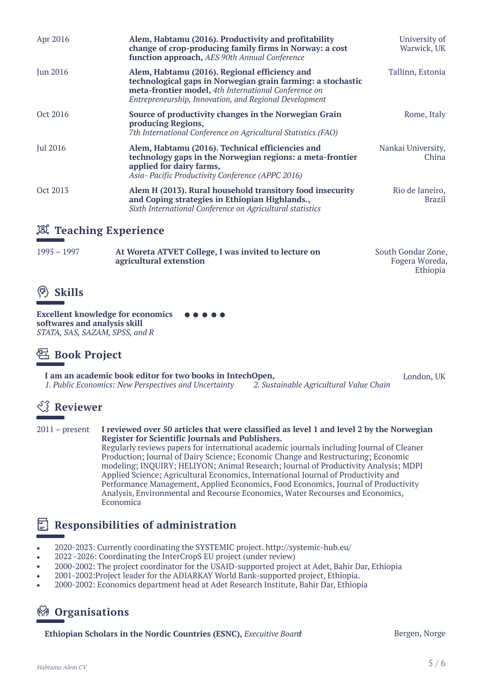| Apr 2016        | Alem, Habtamu (2016). Productivity and profitability<br>change of crop-producing family firms in Norway: a cost<br>function approach, AES 90th Annual Conference                                                               | University of<br>Warwick, UK     |
|-----------------|--------------------------------------------------------------------------------------------------------------------------------------------------------------------------------------------------------------------------------|----------------------------------|
| <b>Jun 2016</b> | Alem, Habtamu (2016). Regional efficiency and<br>technological gaps in Norwegian grain farming: a stochastic<br>meta-frontier model, 4th International Conference on<br>Entrepreneurship, Innovation, and Regional Development | Tallinn, Estonia                 |
| Oct 2016        | Source of productivity changes in the Norwegian Grain<br>producing Regions,<br>7th International Conference on Agricultural Statistics (FAO)                                                                                   | Rome, Italy                      |
| <b>Jul 2016</b> | Alem, Habtamu (2016). Technical efficiencies and<br>technology gaps in the Norwegian regions: a meta-frontier<br>applied for dairy farms,<br>Asia-Pacific Productivity Conference (APPC 2016)                                  | Nankai University,<br>China      |
| Oct 2013        | Alem H (2013). Rural household transitory food insecurity<br>and Coping strategies in Ethiopian Highlands.,<br>Sixth International Conference on Agricultural statistics                                                       | Rio de Janeiro,<br><b>Brazil</b> |

#### **Teaching Experience**

| $1995 - 1997$ | At Woreta ATVET College, I was invited to lecture on | South Gondar Zone, |
|---------------|------------------------------------------------------|--------------------|
|               | agricultural extenstion                              | Fogera Woreda,     |
|               |                                                      | Ethiopia           |



**Excellent knowledge for economics**  . . . . . **softwares and analysis skill** *STATA, SAS, SAZAM, SPSS, and R*

### **Book Project**

**I am an academic book editor for two books in IntechOpen,**  *1. Public Economics: New Perspectives and Uncertainty 2. Sustainable Agricultural Value Chain* London, UK

# *<u><b>EXP* Reviewer</u>

2011 – present **I reviewed over 50 articles that were classified as level 1 and level 2 by the Norwegian Register for Scientific Journals and Publishers.** Regularly reviews papers for international academic journals including Journal of Cleaner Production; Journal of Dairy Science; Economic Change and Restructuring; Economic modeling; INQUIRY; HELIYON; Animal Research; Journal of Productivity Analysis; MDPI

Applied Science; Agricultural Economics, International Journal of Productivity and Performance Management, Applied Economics, Food Economics, Journal of Productivity Analysis, Environmental and Recourse Economics, Water Recourses and Economics, Economica

### **Responsibilities of administration**

- 2020-2023: Currently coordinating the SYSTEMIC project. http://systemic-hub.eu/
- 2022 -2026: Coordinating the InterCropS EU project (under review)
- 2000-2002: The project coordinator for the USAID-supported project at Adet, Bahir Dar, Ethiopia
- 2001-2002:Project leader for the ADIARKAY World Bank-supported project, Ethiopia.
- 2000-2002: Economics department head at Adet Research Institute, Bahir Dar, Ethiopia

### **Organisations**

**Ethiopian Scholars in the Nordic Countries (ESNC),** *Execuitive Board* Bergen, Norge